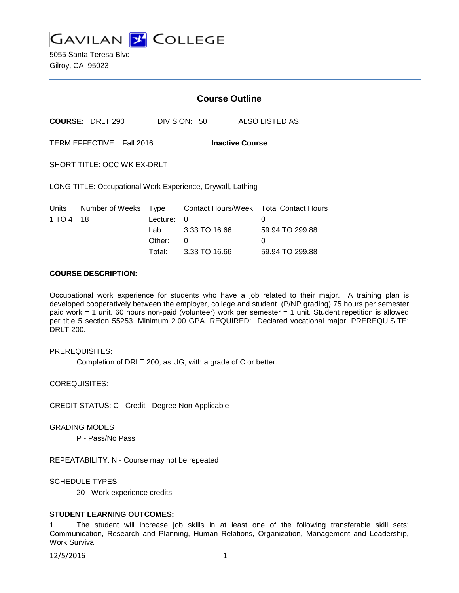**GAVILAN 2 COLLEGE** 

5055 Santa Teresa Blvd Gilroy, CA 95023

|                 |                             | <b>Course Outline</b> |                                                            |                                             |
|-----------------|-----------------------------|-----------------------|------------------------------------------------------------|---------------------------------------------|
|                 | <b>COURSE: DRLT 290</b>     | DIVISION: 50          |                                                            | ALSO LISTED AS:                             |
|                 | TERM EFFECTIVE: Fall 2016   |                       | <b>Inactive Course</b>                                     |                                             |
|                 | SHORT TITLE: OCC WK EX-DRLT |                       |                                                            |                                             |
|                 |                             |                       | LONG TITLE: Occupational Work Experience, Drywall, Lathing |                                             |
| Units<br>1 TO 4 | Number of Weeks<br>18       | Type<br>Lecture:      | 0                                                          | Contact Hours/Week Total Contact Hours<br>0 |
|                 |                             | Lab:                  | 3.33 TO 16.66                                              | 59.94 TO 299.88                             |
|                 |                             | Other:                | 0                                                          | 0                                           |
|                 |                             | Total:                | 3.33 TO 16.66                                              | 59.94 TO 299.88                             |

#### **COURSE DESCRIPTION:**

Occupational work experience for students who have a job related to their major. A training plan is developed cooperatively between the employer, college and student. (P/NP grading) 75 hours per semester paid work = 1 unit. 60 hours non-paid (volunteer) work per semester = 1 unit. Student repetition is allowed per title 5 section 55253. Minimum 2.00 GPA. REQUIRED: Declared vocational major. PREREQUISITE: DRLT 200.

PREREQUISITES:

Completion of DRLT 200, as UG, with a grade of C or better.

COREQUISITES:

CREDIT STATUS: C - Credit - Degree Non Applicable

GRADING MODES

P - Pass/No Pass

REPEATABILITY: N - Course may not be repeated

SCHEDULE TYPES:

20 - Work experience credits

#### **STUDENT LEARNING OUTCOMES:**

1. The student will increase job skills in at least one of the following transferable skill sets: Communication, Research and Planning, Human Relations, Organization, Management and Leadership, Work Survival

12/5/2016 1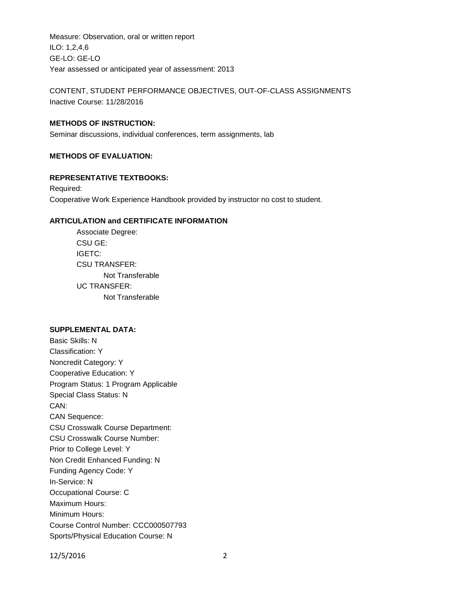Measure: Observation, oral or written report ILO: 1,2,4,6 GE-LO: GE-LO Year assessed or anticipated year of assessment: 2013

CONTENT, STUDENT PERFORMANCE OBJECTIVES, OUT-OF-CLASS ASSIGNMENTS Inactive Course: 11/28/2016

## **METHODS OF INSTRUCTION:**

Seminar discussions, individual conferences, term assignments, lab

### **METHODS OF EVALUATION:**

### **REPRESENTATIVE TEXTBOOKS:**

Required: Cooperative Work Experience Handbook provided by instructor no cost to student.

### **ARTICULATION and CERTIFICATE INFORMATION**

Associate Degree: CSU GE: IGETC: CSU TRANSFER: Not Transferable UC TRANSFER: Not Transferable

# **SUPPLEMENTAL DATA:**

Basic Skills: N Classification: Y Noncredit Category: Y Cooperative Education: Y Program Status: 1 Program Applicable Special Class Status: N CAN: CAN Sequence: CSU Crosswalk Course Department: CSU Crosswalk Course Number: Prior to College Level: Y Non Credit Enhanced Funding: N Funding Agency Code: Y In-Service: N Occupational Course: C Maximum Hours: Minimum Hours: Course Control Number: CCC000507793 Sports/Physical Education Course: N

12/5/2016 2